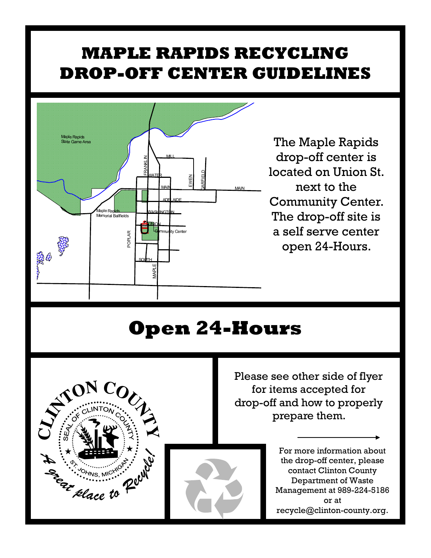## **MAPLE RAPIDS RECYCLING DROP-OFF CENTER GUIDELINES**



The Maple Rapids drop-off center is located on Union St. next to the Community Center. The drop-off site is a self serve center open 24-Hours.

## **Open 24-Hours**



Please see other side of flyer for items accepted for drop-off and how to properly prepare them.

> For more information about the drop-off center, please contact Clinton County Department of Waste Management at 989-224-5186 or at recycle@clinton-county.org.